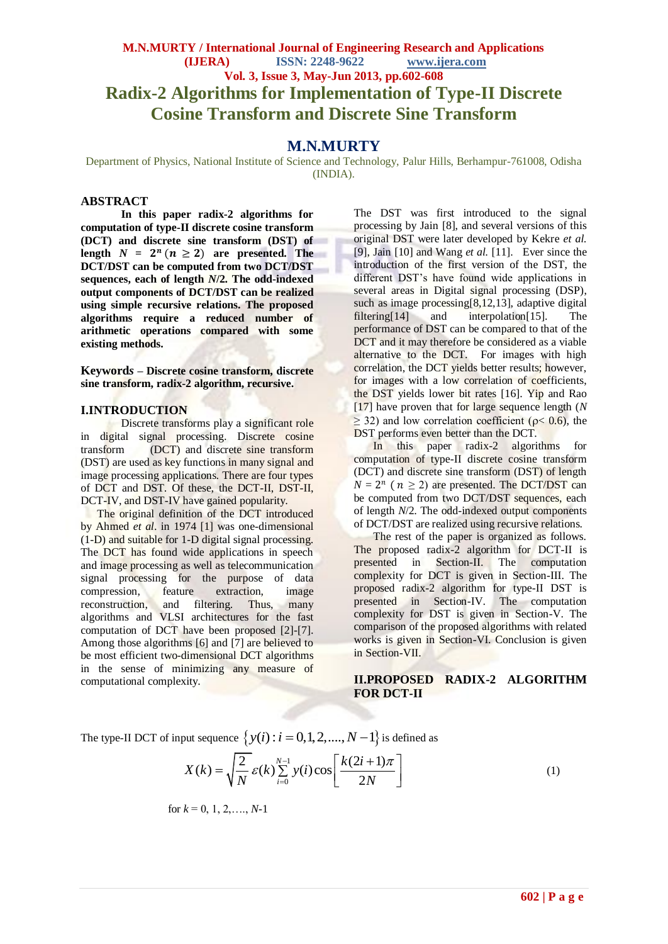# **M.N.MURTY / International Journal of Engineering Research and Applications (IJERA) ISSN: 2248-9622 www.ijera.com Vol. 3, Issue 3, May-Jun 2013, pp.602-608 Radix-2 Algorithms for Implementation of Type-II Discrete Cosine Transform and Discrete Sine Transform**

## **M.N.MURTY**

Department of Physics, National Institute of Science and Technology, Palur Hills, Berhampur-761008, Odisha (INDIA).

#### **ABSTRACT**

**In this paper radix-2 algorithms for computation of type-II discrete cosine transform (DCT) and discrete sine transform (DST) of**  length  $N = 2^n (n \ge 2)$  are presented. The **DCT/DST can be computed from two DCT/DST sequences, each of length** *N***/2. The odd-indexed output components of DCT/DST can be realized using simple recursive relations. The proposed algorithms require a reduced number of arithmetic operations compared with some existing methods.**

**Keyword***s* **– Discrete cosine transform, discrete sine transform, radix-2 algorithm, recursive.**

#### **I.INTRODUCTION**

Discrete transforms play a significant role in digital signal processing. Discrete cosine transform (DCT) and discrete sine transform (DST) are used as key functions in many signal and image processing applications. There are four types of DCT and DST. Of these, the DCT-II, DST-II, DCT-IV, and DST-IV have gained popularity.

 The original definition of the DCT introduced by Ahmed *et al*. in 1974 [1] was one-dimensional (1-D) and suitable for 1-D digital signal processing. The **DCT** has found wide applications in speech and image processing as well as telecommunication signal processing for the purpose of data compression, feature extraction, image reconstruction, and filtering. Thus, many algorithms and VLSI architectures for the fast computation of DCT have been proposed [2]-[7]. Among those algorithms [6] and [7] are believed to be most efficient two-dimensional DCT algorithms in the sense of minimizing any measure of computational complexity.

The DST was first introduced to the signal processing by Jain [8], and several versions of this original DST were later developed by Kekre *et al.* [9], Jain [10] and Wang *et al.* [11]. Ever since the introduction of the first version of the DST, the different DST's have found wide applications in several areas in Digital signal processing (DSP), such as image processing $[8,12,13]$ , adaptive digital filtering[14] and interpolation[15]. The performance of DST can be compared to that of the DCT and it may therefore be considered as a viable alternative to the DCT. For images with high correlation, the DCT yields better results; however, for images with a low correlation of coefficients, the DST yields lower bit rates [16]. Yip and Rao [17] have proven that for large sequence length (*N*  $\geq$  32) and low correlation coefficient ( $\rho$ < 0.6), the DST performs even better than the DCT.

In this paper radix-2 algorithms for computation of type-II discrete cosine transform (DCT) and discrete sine transform (DST) of length  $N = 2^n$  ( $n \ge 2$ ) are presented. The DCT/DST can be computed from two DCT/DST sequences, each of length *N*/2. The odd-indexed output components of DCT/DST are realized using recursive relations.

 The rest of the paper is organized as follows. The proposed radix-2 algorithm for DCT-II is presented in Section-II. The computation complexity for DCT is given in Section-III. The proposed radix-2 algorithm for type-II DST is presented in Section-IV. The computation complexity for DST is given in Section-V. The comparison of the proposed algorithms with related works is given in Section-VI. Conclusion is given in Section-VII.

## **II.PROPOSED RADIX-2 ALGORITHM FOR DCT-II**

The type-II DCT of input sequence 
$$
\{y(i) : i = 0, 1, 2, ..., N-1\}
$$
 is defined as  

$$
X(k) = \sqrt{\frac{2}{N}} \varepsilon(k) \sum_{i=0}^{N-1} y(i) \cos\left[\frac{k(2i+1)\pi}{2N}\right]
$$
(1)

for 
$$
k = 0, 1, 2, \ldots, N-1
$$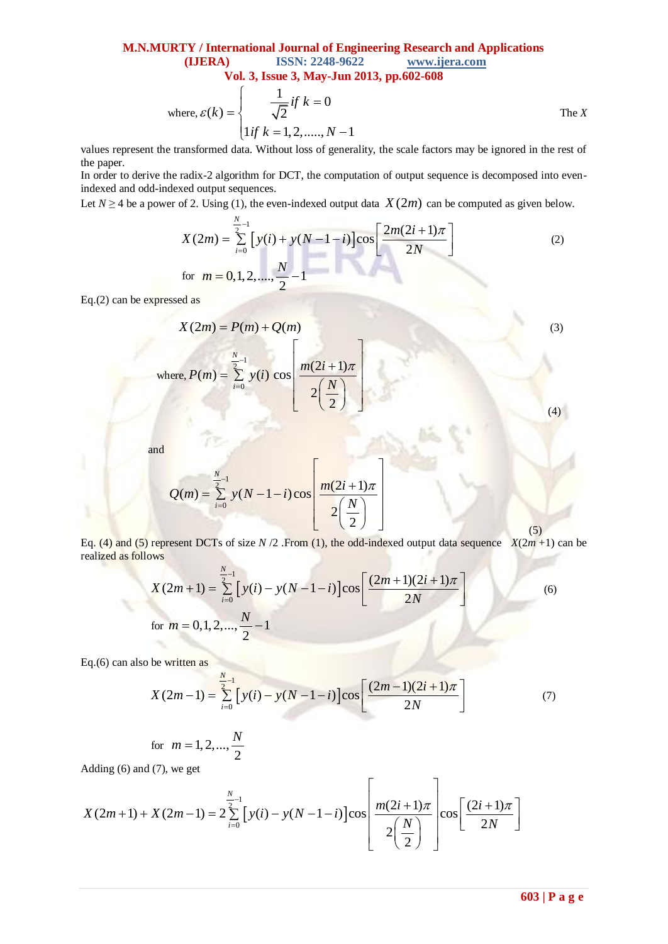**M.N.MURTY / International Journal of Engineering Research and Applications (IJERA) ISSN: 2248-9622 www.ijera.com Vol. 3, Issue 3, May-Jun 2013, pp.602-608**

where, 
$$
\varepsilon(k) = \begin{cases} \frac{1}{\sqrt{2}} & \text{if } k = 0 \\ \ln(k) & \text{if } k = 1, 2, \dots, N - 1 \end{cases}
$$

values represent the transformed data. Without loss of generality, the scale factors may be ignored in the rest of the paper.

In order to derive the radix-2 algorithm for DCT, the computation of output sequence is decomposed into evenindexed and odd-indexed output sequences.

*N*

Let 
$$
N \ge 4
$$
 be a power of 2. Using (1), the even-indexed output data  $X(2m)$  can be computed as given below.  
\n
$$
X(2m) = \sum_{i=0}^{N} \left[ y(i) + y(N-1-i) \right] \cos \left[ \frac{2m(2i+1)\pi}{2N} \right]
$$
\nfor  $m = 0, 1, 2, ..., \frac{N}{2} - 1$  (2)

Eq.(2) can be expressed as

$$
X(2m) = P(m) + Q(m)
$$
\nwhere,  $P(m) = \sum_{i=0}^{N} y(i) \cos \left( \frac{m(2i+1)\pi}{2\left(\frac{N}{2}\right)} \right)$  (3)

and

$$
Q(m) = \sum_{i=0}^{N} y(N-1-i) \cos \left[\frac{m(2i+1)\pi}{2\left(\frac{N}{2}\right)}\right]
$$

realized as follows

Eq. (4) and (5) represent DCTs of size 
$$
N/2
$$
. From (1), the odd-indexed output data sequence  $X(2m+1)$  can be  
realized as follows  

$$
X(2m+1) = \sum_{i=0}^{N} \left[ y(i) - y(N-1-i) \right] \cos \left[ \frac{(2m+1)(2i+1)\pi}{2N} \right]
$$
(6)  
for  $m = 0,1,2,..., \frac{N}{2} - 1$ 

Eq.(6) can also be written as

Eq.(6) can also be written as  
\n
$$
X(2m-1) = \sum_{i=0}^{N} \left[ y(i) - y(N-1-i) \right] \cos \left[ \frac{(2m-1)(2i+1)\pi}{2N} \right]
$$
\n(7)

for 
$$
m = 1, 2, ..., \frac{N}{2}
$$

Adding (6) and (7), we get

for 
$$
m = 1, 2, ..., \frac{N}{2}
$$
  
\nAdding (6) and (7), we get\n
$$
X(2m+1) + X(2m-1) = 2 \sum_{i=0}^{\frac{N}{2}-1} \left[ y(i) - y(N-1-i) \right] \cos \left[ \frac{m(2i+1)\pi}{2\left(\frac{N}{2}\right)} \right] \cos \left[ \frac{(2i+1)\pi}{2N} \right]
$$

(5)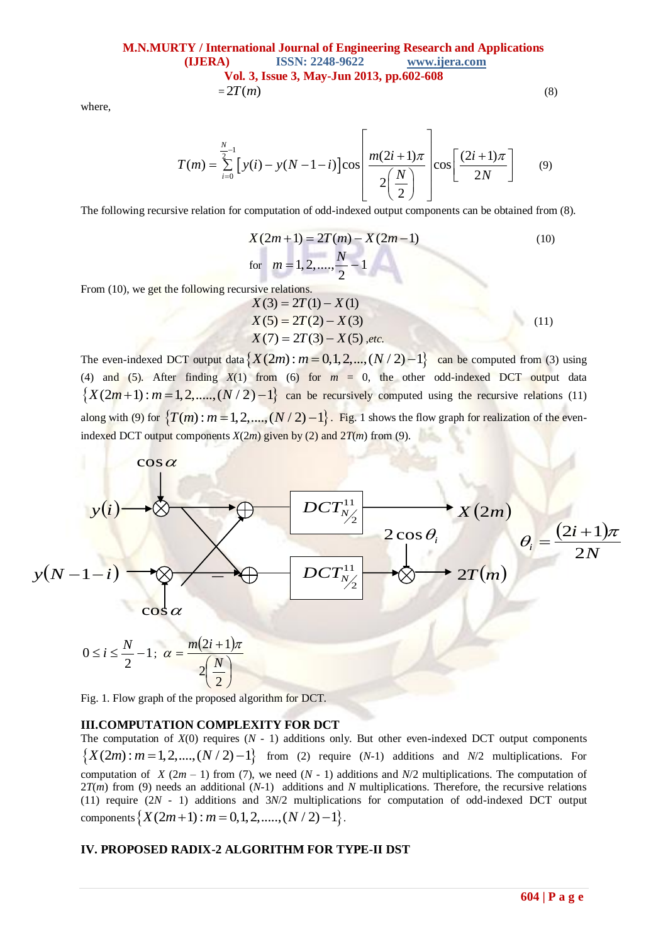**M.N.MURTY / International Journal of Engineering Research and Applications (IJERA) ISSN: 2248-9622 www.ijera.com Vol. 3, Issue 3, May-Jun 2013, pp.602-608**  $= 2T(m)$  (8)

where,

where,  
\n
$$
T(m) = \sum_{i=0}^{N} \left[ y(i) - y(N-1-i) \right] \cos \left[ \frac{m(2i+1)\pi}{2\left(\frac{N}{2}\right)} \right] \cos \left[ \frac{(2i+1)\pi}{2N} \right]
$$
(9)

The following recursive relation for computation of odd-indexed output components can be obtained from (8).

$$
X(2m+1) = 2T(m) - X(2m-1)
$$
  
for  $m = 1, 2, ..., \frac{N}{2} - 1$  (10)

From (10), we get the following recursive relations.

$$
X(3) = 2T(1) - X(1)
$$
  
\n
$$
X(5) = 2T(2) - X(3)
$$
  
\n
$$
X(7) = 2T(3) - X(5), etc.
$$
\n(11)

 $X(1) = 2I(3) - X(5)$ , *etc.*<br>
The even-indexed DCT output data  $\{X(2m) : m = 0, 1, 2, ..., (N/2) - 1\}$  can be computed from (3) using (4) and (5). After finding  $X(1)$  from (6) for  $m = 0$ , the other odd-indexed DCT output data (4) and (5). After finding  $X(1)$  from (6) for  $m = 0$ , the other odd-indexed DCT output data  $\{X(2m+1) : m=1,2,......,(N/2)-1\}$  can be recursively computed using the recursive relations (11) along with (9) for  $\{T(m): m = 1, 2, ..., (N/2) - 1\}$ . Fig. 1 shows the flow graph for realization of the evenindexed DCT output components  $X(2m)$  given by (2) and  $2T(m)$  from (9).



Fig. 1. Flow graph of the proposed algorithm for DCT.

#### **III.COMPUTATION COMPLEXITY FOR DCT**

The computation of  $X(0)$  requires  $(N - 1)$  additions only. But other even-indexed DCT output components The computation of  $X(0)$  requires  $(N - 1)$  additions only. But other even-indexed DCT output components  $\{X(2m): m = 1, 2, \ldots, (N/2) - 1\}$  from (2) require  $(N-1)$  additions and  $N/2$  multiplications. For computation of *X* (2*m* – 1) from (7), we need (*N* - 1) additions and *N*/2 multiplications. The computation of 2*T*(*m*) from (9) needs an additional (*N*-1) additions and *N* multiplications. Therefore, the recursive relations (11) require (2*N* - 1) additions and 3*N*/2 multiplications for computation of odd-indexed DCT output (11) require  $(2N - 1)$  additions and  $3N/2$  multiplications<br>components  $\{X(2m+1) : m = 0,1,2,...... (N/2) -1\}$ .

#### **IV. PROPOSED RADIX-2 ALGORITHM FOR TYPE-II DST**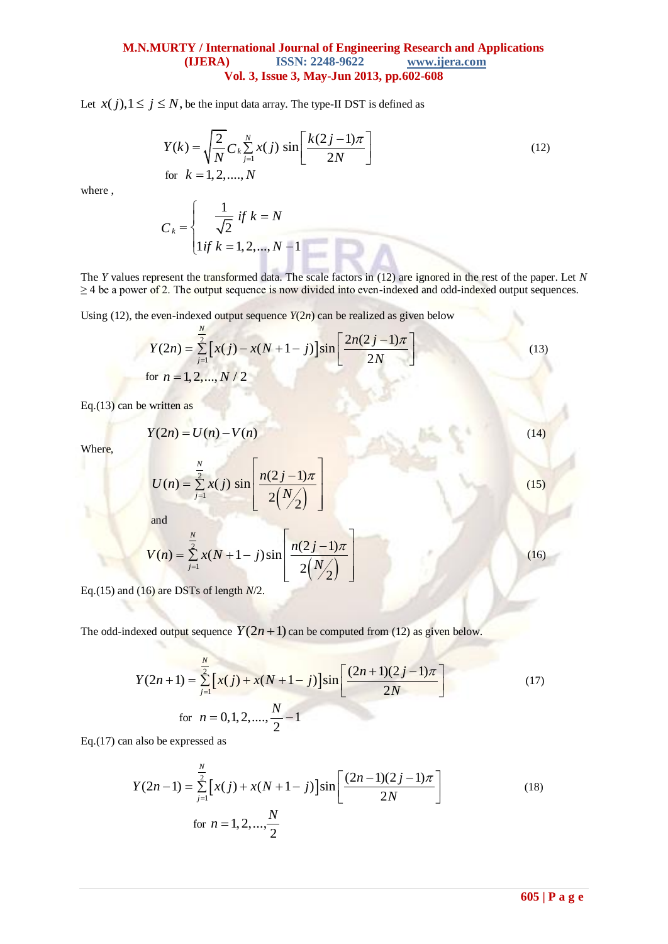## **M.N.MURTY / International Journal of Engineering Research and Applications ISSN: 2248-9622** www.ijera.com **Vol. 3, Issue 3, May-Jun 2013, pp.602-608**

Let  $x(j)$ ,  $1 \le j \le N$ , be the input data array. The type-II DST is defined as

$$
Y(k) = \sqrt{\frac{2}{N}} C_k \sum_{j=1}^{N} x(j) \sin\left[\frac{k(2j-1)\pi}{2N}\right]
$$
  
for  $k = 1, 2, ..., N$  (12)

where ,

$$
C_k = \begin{cases} \frac{1}{\sqrt{2}} & \text{if } k = N \\ 1 & \text{if } k = 1, 2, ..., N - 1 \end{cases}
$$

The *Y* values represent the transformed data. The scale factors in (12) are ignored in the rest of the paper. Let *N*  $\geq$  4 be a power of 2. The output sequence is now divided into even-indexed and odd-indexed output sequences.

Using (12), the even-indexed output sequence 
$$
Y(2n)
$$
 can be realized as given below  
\n
$$
Y(2n) = \sum_{j=1}^{N} \left[ x(j) - x(N+1-j) \right] \sin \left[ \frac{2n(2j-1)\pi}{2N} \right]
$$
\nfor  $n = 1, 2, ..., N/2$  (13)

Eq.(13) can be written as

$$
Y(2n) = U(n) - V(n) \tag{14}
$$

Where,

where,  
\n
$$
U(n) = \sum_{j=1}^{N} x(j) \sin \left[ \frac{n(2j-1)\pi}{2(N/2)} \right]
$$
\n(15)

and  
\n
$$
V(n) = \sum_{j=1}^{N} x(N+1-j) \sin \left[\frac{n(2j-1)\pi}{2(N/2)}\right]
$$
\n(16)

Eq.(15) and (16) are DSTs of length *N*/2.

The odd-indexed output sequence  $Y(2n + 1)$  can be computed from (12) as given below.

$$
Y(2n+1) = \sum_{j=1}^{N} \left[ x(j) + x(N+1-j) \right] \sin \left[ \frac{(2n+1)(2j-1)\pi}{2N} \right]
$$
\nfor  $n = 0, 1, 2, ..., \frac{N}{2} - 1$  (17)

Eq.(17) can also be expressed as

Eq.(17) can also be expressed as  
\n
$$
Y(2n-1) = \sum_{j=1}^{N} \left[ x(j) + x(N+1-j) \right] \sin \left[ \frac{(2n-1)(2j-1)\pi}{2N} \right]
$$
\nfor  $n = 1, 2, ..., \frac{N}{2}$  (18)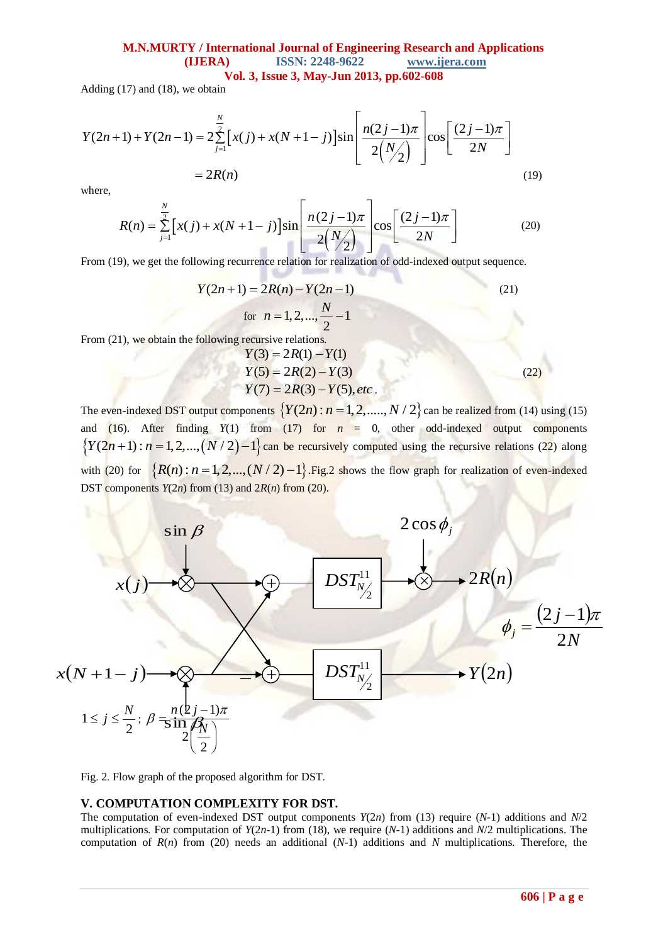# **M.N.MURTY / International Journal of Engineering Research and Applications (IJERA) ISSN: 2248-9622 www.ijera.com**

**Vol. 3, Issue 3, May-Jun 2013, pp.602-608**

Adding (17) and (18), we obtain

Adding (17) and (18), we obtain

\n
$$
Y(2n+1) + Y(2n-1) = 2 \sum_{j=1}^{N} \left[ x(j) + x(N+1-j) \right] \sin \left[ \frac{n(2j-1)\pi}{2\binom{N}{2}} \right] \cos \left[ \frac{(2j-1)\pi}{2N} \right]
$$
\n
$$
= 2R(n) \tag{19}
$$

where,

$$
= 2R(n)
$$
\n(19)

\nwhere,

\n
$$
R(n) = \sum_{j=1}^{N} \left[ x(j) + x(N+1-j) \right] \sin \left[ \frac{n(2j-1)\pi}{2(N/2)} \right] \cos \left[ \frac{(2j-1)\pi}{2N} \right]
$$
\n(20)

\nFrom (19), we get the following recurrence relation for realization of odd-indexed output sequence.

From (19), we get the following recurrence relation for realization of odd-indexed output sequence.

$$
Y(2n+1) = 2R(n) - Y(2n-1)
$$
\nfor  $n = 1, 2, ..., \frac{N}{2} - 1$  (21)  
\nFrom (21) we obtain the following recursive relations

From  $(21)$ , we obtain the following

$$
Y(3) = 2R(1) - Y(1)
$$
  
\n
$$
Y(5) = 2R(2) - Y(3)
$$
  
\n
$$
Y(7) = 2R(3) - Y(5), etc.
$$
 (22)

The even-indexed DST output components  $\{Y(2n): n = 1, 2, \dots, N/2\}$  can be realized from (14) using (15) and (16). After finding  $Y(1)$  from (17) for  $n = 0$ , other odd-indexed output components and (16). After finding *Y*(1) from (17) for  $n = 0$ , other odd-indexed output components  $\{Y(2n+1): n = 1, 2, ..., (N/2) - 1\}$  can be recursively computed using the recursive relations (22) along with (20) for  $\{R(n): n = 1, 2, ..., (N/2) - 1\}$ . Fig.2 shows the flow graph for realization of even-indexed DST components  $Y(2n)$  from (13) and  $2R(n)$  from (20).



Fig. 2. Flow graph of the proposed algorithm for DST.

#### **V. COMPUTATION COMPLEXITY FOR DST.**

The computation of even-indexed DST output components *Y*(2*n*) from (13) require (*N*-1) additions and *N*/2 multiplications. For computation of *Y*(2*n*-1) from (18), we require (*N*-1) additions and *N*/2 multiplications. The computation of *R*(*n*) from (20) needs an additional (*N*-1) additions and *N* multiplications. Therefore, the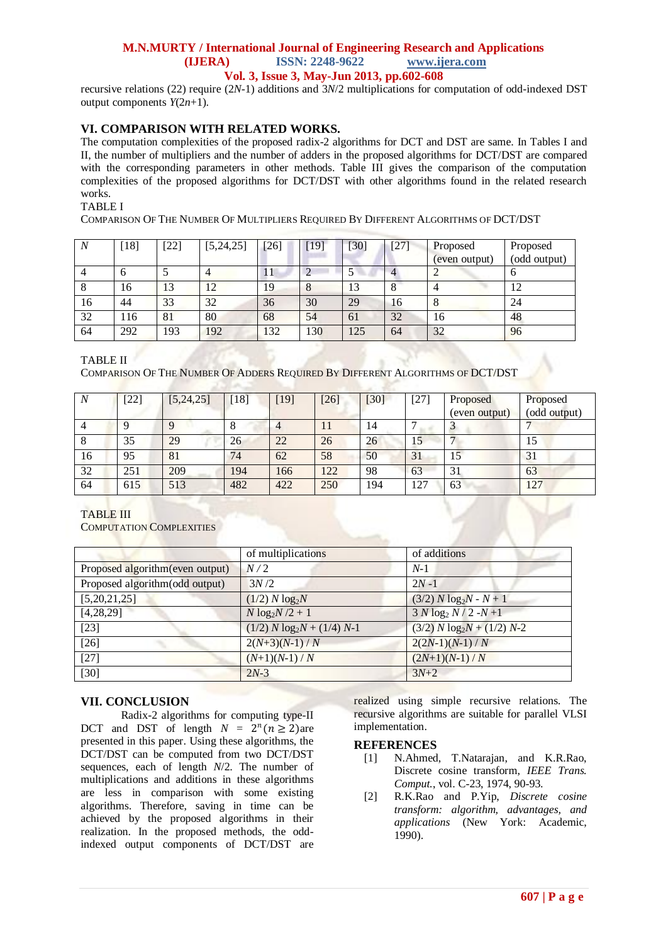### **M.N.MURTY / International Journal of Engineering Research and Applications (IJERA) ISSN: 2248-9622 www.ijera.com Vol. 3, Issue 3, May-Jun 2013, pp.602-608**

recursive relations (22) require (2*N*-1) additions and 3*N*/2 multiplications for computation of odd-indexed DST output components  $Y(2n+1)$ .

## **VI. COMPARISON WITH RELATED WORKS.**

The computation complexities of the proposed radix-2 algorithms for DCT and DST are same. In Tables I and II, the number of multipliers and the number of adders in the proposed algorithms for DCT/DST are compared with the corresponding parameters in other methods. Table III gives the comparison of the computation complexities of the proposed algorithms for DCT/DST with other algorithms found in the related research works.

#### TABLE I

COMPARISON OF THE NUMBER OF MULTIPLIERS REQUIRED BY DIFFERENT ALGORITHMS OF DCT/DST

| $\overline{N}$ | $[18]$   | $[22]$ | [5, 24, 25] | [26] | $[19]$ | 130 | [27] | Proposed<br>(even output) | Proposed<br>(odd output) |
|----------------|----------|--------|-------------|------|--------|-----|------|---------------------------|--------------------------|
|                | $\sigma$ |        |             | 11   |        |     |      |                           | O                        |
|                | 16       | 13     | 12          | 19   |        | 13  | Õ    |                           | 12                       |
| 16             | 44       | 33     | 32          | 36   | 30     | 29  | 16   | 8                         | 24                       |
| 32             | 116      | 81     | 80          | 68   | 54     | 61  | 32   | 16                        | 48                       |
| 64             | 292      | 193    | 192         | 132  | 130    | 125 | 64   | 32                        | 96                       |

TABLE II

COMPARISON OF THE NUMBER OF ADDERS REQUIRED BY DIFFERENT ALGORITHMS OF DCT/DST

| N  | $[22]$ | [5, 24, 25] | [18] | $[19]$ | $[26]$ | $[30]$ | [27]            | Proposed      | Proposed     |
|----|--------|-------------|------|--------|--------|--------|-----------------|---------------|--------------|
|    |        |             |      |        |        |        |                 | (even output) | (odd output) |
|    |        |             | 8    |        | 11     | 14     |                 |               |              |
| Ō  | 35     | 29          | 26   | 22     | 26     | 26     | 15 <sup>7</sup> |               | 15           |
| 16 | 95     | 81          | 74   | 62     | 58     | 50     | 31              |               | 31           |
| 32 | 251    | 209         | 194  | 166    | 122    | 98     | 63              | 31            | 63           |
| 64 | 615    | 513         | 482  | 422    | 250    | 194    | 127             | 63            | 127          |

### TABLE III

COMPUTATION COMPLEXITIES

|                                  | of multiplications             | of additions                   |
|----------------------------------|--------------------------------|--------------------------------|
| Proposed algorithm (even output) | N/2                            | $N-1$                          |
| Proposed algorithm(odd output)   | 3N/2                           | $2N-1$                         |
| [5,20,21,25]                     | $(1/2) N \log_2 N$             | $(3/2) N \log_2 N - N + 1$     |
| [4,28,29]                        | $N \log_2 N/2 + 1$             | $3 N \log_2 N / 2 - N + 1$     |
| $[23]$                           | $(1/2) N \log_2 N + (1/4) N-1$ | $(3/2) N \log_2 N + (1/2) N-2$ |
| $[26]$                           | $2(N+3)(N-1)/N$                | $2(2N-1)(N-1)/N$               |
| $[27]$                           | $(N+1)(N-1)/N$                 | $(2N+1)(N-1)/N$                |
| $[30]$                           | $2N-3$                         | $3N+2$                         |

#### **VII. CONCLUSION**

Radix-2 algorithms for computing type-II DCT and DST of length  $N = 2^n (n \ge 2)$ are presented in this paper. Using these algorithms, the DCT/DST can be computed from two DCT/DST sequences, each of length *N*/2. The number of multiplications and additions in these algorithms are less in comparison with some existing algorithms. Therefore, saving in time can be achieved by the proposed algorithms in their realization. In the proposed methods, the oddindexed output components of DCT/DST are realized using simple recursive relations. The recursive algorithms are suitable for parallel VLSI implementation.

#### **REFERENCES**

- [1] N.Ahmed, T.Natarajan, and K.R.Rao, Discrete cosine transform, *IEEE Trans. Comput.*, vol. C-23, 1974, 90-93.
- [2] R.K.Rao and P.Yip, *Discrete cosine transform: algorithm, advantages, and applications* (New York: Academic, 1990).